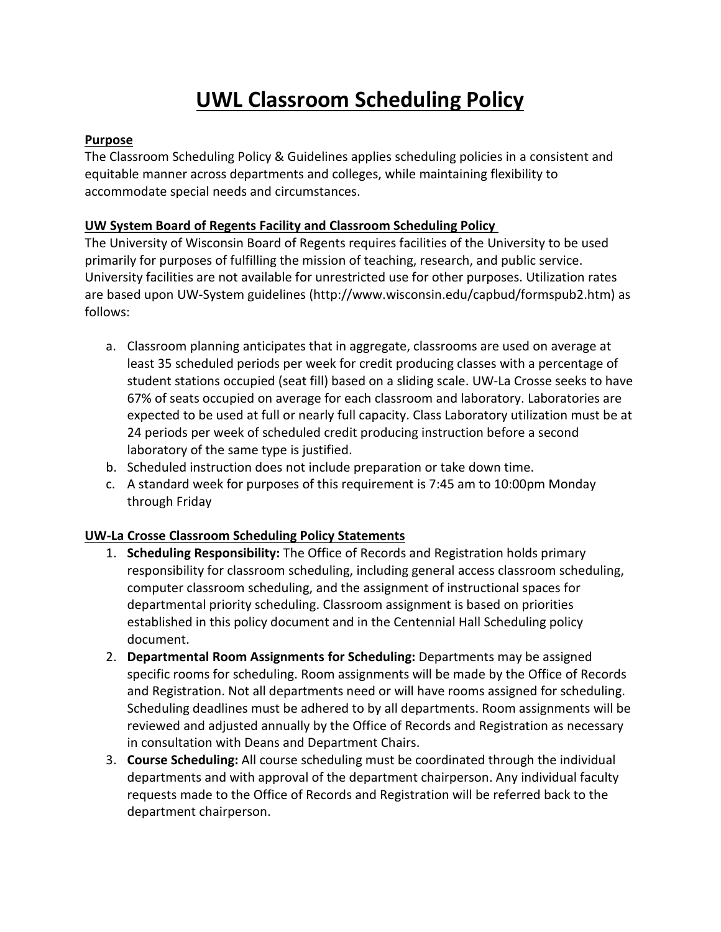# **UWL Classroom Scheduling Policy**

#### **Purpose**

The Classroom Scheduling Policy & Guidelines applies scheduling policies in a consistent and equitable manner across departments and colleges, while maintaining flexibility to accommodate special needs and circumstances.

## **UW System Board of Regents Facility and Classroom Scheduling Policy**

The University of Wisconsin Board of Regents requires facilities of the University to be used primarily for purposes of fulfilling the mission of teaching, research, and public service. University facilities are not available for unrestricted use for other purposes. Utilization rates are based upon UW-System guidelines (http://www.wisconsin.edu/capbud/formspub2.htm) as follows:

- a. Classroom planning anticipates that in aggregate, classrooms are used on average at least 35 scheduled periods per week for credit producing classes with a percentage of student stations occupied (seat fill) based on a sliding scale. UW-La Crosse seeks to have 67% of seats occupied on average for each classroom and laboratory. Laboratories are expected to be used at full or nearly full capacity. Class Laboratory utilization must be at 24 periods per week of scheduled credit producing instruction before a second laboratory of the same type is justified.
- b. Scheduled instruction does not include preparation or take down time.
- c. A standard week for purposes of this requirement is 7:45 am to 10:00pm Monday through Friday

#### **UW-La Crosse Classroom Scheduling Policy Statements**

- 1. **Scheduling Responsibility:** The Office of Records and Registration holds primary responsibility for classroom scheduling, including general access classroom scheduling, computer classroom scheduling, and the assignment of instructional spaces for departmental priority scheduling. Classroom assignment is based on priorities established in this policy document and in the Centennial Hall Scheduling policy document.
- 2. **Departmental Room Assignments for Scheduling:** Departments may be assigned specific rooms for scheduling. Room assignments will be made by the Office of Records and Registration. Not all departments need or will have rooms assigned for scheduling. Scheduling deadlines must be adhered to by all departments. Room assignments will be reviewed and adjusted annually by the Office of Records and Registration as necessary in consultation with Deans and Department Chairs.
- 3. **Course Scheduling:** All course scheduling must be coordinated through the individual departments and with approval of the department chairperson. Any individual faculty requests made to the Office of Records and Registration will be referred back to the department chairperson.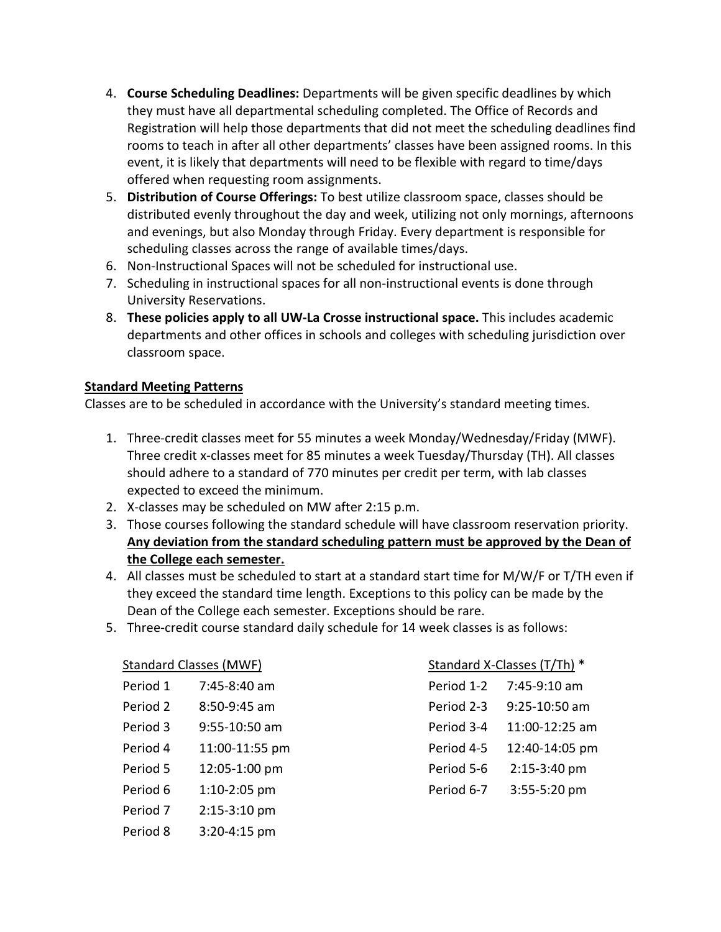- 4. **Course Scheduling Deadlines:** Departments will be given specific deadlines by which they must have all departmental scheduling completed. The Office of Records and Registration will help those departments that did not meet the scheduling deadlines find rooms to teach in after all other departments' classes have been assigned rooms. In this event, it is likely that departments will need to be flexible with regard to time/days offered when requesting room assignments.
- 5. **Distribution of Course Offerings:** To best utilize classroom space, classes should be distributed evenly throughout the day and week, utilizing not only mornings, afternoons and evenings, but also Monday through Friday. Every department is responsible for scheduling classes across the range of available times/days.
- 6. Non-Instructional Spaces will not be scheduled for instructional use.
- 7. Scheduling in instructional spaces for all non-instructional events is done through University Reservations.
- 8. **These policies apply to all UW-La Crosse instructional space.** This includes academic departments and other offices in schools and colleges with scheduling jurisdiction over classroom space.

#### **Standard Meeting Patterns**

Classes are to be scheduled in accordance with the University's standard meeting times.

- 1. Three-credit classes meet for 55 minutes a week Monday/Wednesday/Friday (MWF). Three credit x-classes meet for 85 minutes a week Tuesday/Thursday (TH). All classes should adhere to a standard of 770 minutes per credit per term, with lab classes expected to exceed the minimum.
- 2. X-classes may be scheduled on MW after 2:15 p.m.
- 3. Those courses following the standard schedule will have classroom reservation priority. **Any deviation from the standard scheduling pattern must be approved by the Dean of the College each semester.**
- 4. All classes must be scheduled to start at a standard start time for M/W/F or T/TH even if they exceed the standard time length. Exceptions to this policy can be made by the Dean of the College each semester. Exceptions should be rare.
- 5. Three-credit course standard daily schedule for 14 week classes is as follows:

| <b>Standard Classes (MWF)</b> |                  | Standard X-Classes (T/Th) * |                |
|-------------------------------|------------------|-----------------------------|----------------|
| Period 1                      | 7:45-8:40 am     | Period 1-2                  | 7:45-9:10 am   |
| Period 2                      | 8:50-9:45 am     | Period 2-3                  | 9:25-10:50 am  |
| Period 3                      | 9:55-10:50 am    | Period 3-4                  | 11:00-12:25 am |
| Period 4                      | 11:00-11:55 pm   | Period 4-5                  | 12:40-14:05 pm |
| Period 5                      | 12:05-1:00 pm    | Period 5-6                  | $2:15-3:40$ pm |
| Period 6                      | $1:10-2:05$ pm   | Period 6-7                  | 3:55-5:20 pm   |
| Period <sub>7</sub>           | $2:15-3:10$ pm   |                             |                |
| Period 8                      | $3:20 - 4:15$ pm |                             |                |

| Standard X-Classes (T/Th) * |                |  |  |
|-----------------------------|----------------|--|--|
| Period 1-2                  | 7:45-9:10 am   |  |  |
| Period 2-3                  | 9:25-10:50 am  |  |  |
| Period 3-4                  | 11:00-12:25 am |  |  |
| Period 4-5                  | 12:40-14:05 pm |  |  |
| Period 5-6                  | 2:15-3:40 pm   |  |  |
| Period 6-7                  | 3:55-5:20 pm   |  |  |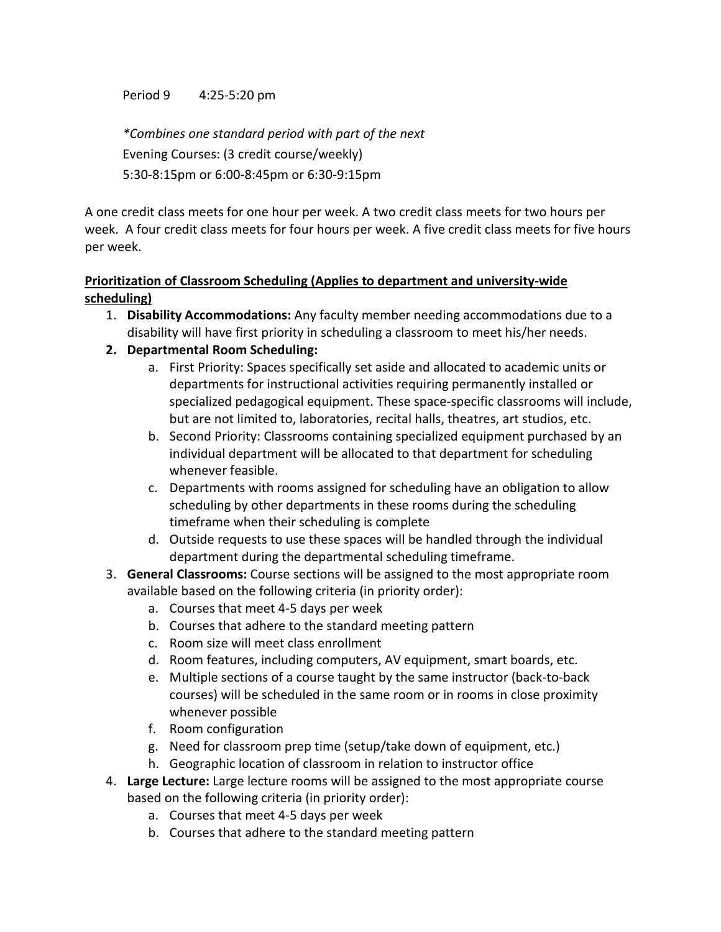Period 9 4:25-5:20 pm

*\*Combines one standard period with part of the next*  Evening Courses: (3 credit course/weekly) 5:30-8:15pm or 6:00-8:45pm or 6:30-9:15pm

A one credit class meets for one hour per week. A two credit class meets for two hours per week. A four credit class meets for four hours per week. A five credit class meets for five hours per week.

#### **Prioritization of Classroom Scheduling (Applies to department and university-wide scheduling)**

- 1. **Disability Accommodations:** Any faculty member needing accommodations due to a disability will have first priority in scheduling a classroom to meet his/her needs.
- **2. Departmental Room Scheduling:**
	- a. First Priority: Spaces specifically set aside and allocated to academic units or departments for instructional activities requiring permanently installed or specialized pedagogical equipment. These space-specific classrooms will include, but are not limited to, laboratories, recital halls, theatres, art studios, etc.
	- b. Second Priority: Classrooms containing specialized equipment purchased by an individual department will be allocated to that department for scheduling whenever feasible.
	- c. Departments with rooms assigned for scheduling have an obligation to allow scheduling by other departments in these rooms during the scheduling timeframe when their scheduling is complete
	- d. Outside requests to use these spaces will be handled through the individual department during the departmental scheduling timeframe.
- 3. **General Classrooms:** Course sections will be assigned to the most appropriate room available based on the following criteria (in priority order):
	- a. Courses that meet 4-5 days per week
	- b. Courses that adhere to the standard meeting pattern
	- c. Room size will meet class enrollment
	- d. Room features, including computers, AV equipment, smart boards, etc.
	- e. Multiple sections of a course taught by the same instructor (back-to-back courses) will be scheduled in the same room or in rooms in close proximity whenever possible
	- f. Room configuration
	- g. Need for classroom prep time (setup/take down of equipment, etc.)
	- h. Geographic location of classroom in relation to instructor office
- 4. **Large Lecture:** Large lecture rooms will be assigned to the most appropriate course based on the following criteria (in priority order):
	- a. Courses that meet 4-5 days per week
	- b. Courses that adhere to the standard meeting pattern